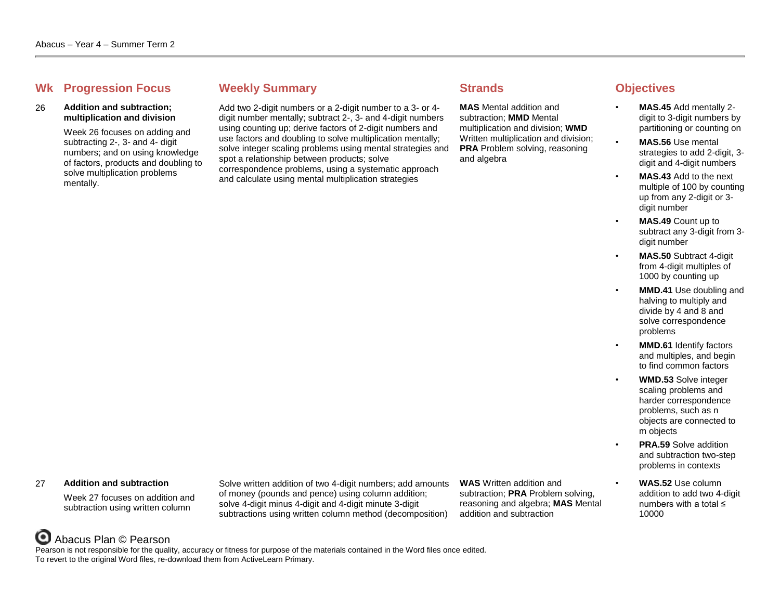## **Whene Weekly Summary Strands Objectives Objectives**

### 26 **Addition and subtraction; multiplication and division**

Week 26 focuses on adding and subtracting 2-, 3- and 4- digit numbers; and on using knowledge of factors, products and doubling to solve multiplication problems mentally.

Add two 2-digit numbers or a 2-digit number to a 3- or 4 digit number mentally; subtract 2-, 3- and 4-digit numbers using counting up; derive factors of 2-digit numbers and use factors and doubling to solve multiplication mentally; solve integer scaling problems using mental strategies and spot a relationship between products; solve correspondence problems, using a systematic approach and calculate using mental multiplication strategies

**MAS** Mental addition and subtraction; **MMD** Mental multiplication and division; **WMD** Written multiplication and division; **PRA** Problem solving, reasoning and algebra

- **MAS.45** Add mentally 2 digit to 3-digit numbers by partitioning or counting on
- **MAS.56** Use mental strategies to add 2-digit, 3 digit and 4-digit numbers
- **MAS.43** Add to the next multiple of 100 by counting up from any 2-digit or 3 digit number
- **MAS.49** Count up to subtract any 3-digit from 3 digit number
- **MAS.50** Subtract 4-digit from 4-digit multiples of 1000 by counting up
- **MMD.41** Use doubling and halving to multiply and divide by 4 and 8 and solve correspondence problems
- **MMD.61** Identify factors and multiples, and begin to find common factors
	- **WMD.53** Solve integer scaling problems and harder correspondence problems, such as n objects are connected to m objects
	- **PRA.59** Solve addition and subtraction two-step problems in contexts
	- **WAS.52** Use column addition to add two 4-digit numbers with a total ≤ 10000

### 27 **Addition and subtraction**

Week 27 focuses on addition and subtraction using written column

Solve written addition of two 4-digit numbers; add amounts of money (pounds and pence) using column addition; solve 4-digit minus 4-digit and 4-digit minute 3-digit subtractions using written column method (decomposition)

**WAS** Written addition and subtraction; **PRA** Problem solving, reasoning and algebra; **MAS** Mental addition and subtraction

## Abacus Plan © Pearson

Pearson is not responsible for the quality, accuracy or fitness for purpose of the materials contained in the Word files once edited. To revert to the original Word files, re-download them from ActiveLearn Primary.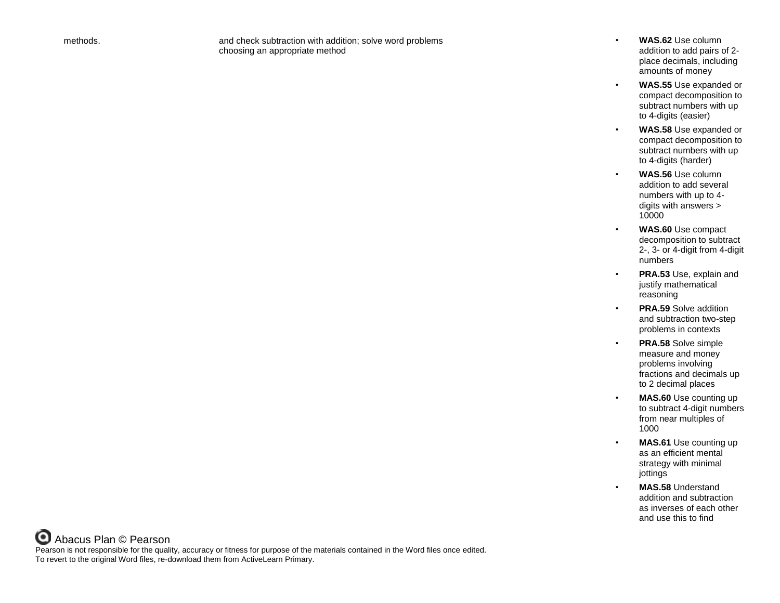methods. and check subtraction with addition; solve word problems choosing an appropriate method

- **WAS.62** Use column addition to add pairs of 2 place decimals, including amounts of money
- **WAS.55** Use expanded or compact decomposition to subtract numbers with up to 4-digits (easier)
- **WAS.58** Use expanded or compact decomposition to subtract numbers with up to 4-digits (harder)
- **WAS.56** Use column addition to add several numbers with up to 4 digits with answers > 10000
- **WAS.60** Use compact decomposition to subtract 2-, 3- or 4-digit from 4-digit numbers
- **PRA.53** Use, explain and justify mathematical reasoning
- **PRA.59** Solve addition and subtraction two-step problems in contexts
- **PRA.58** Solve simple measure and money problems involving fractions and decimals up to 2 decimal places
- **MAS.60** Use counting up to subtract 4-digit numbers from near multiples of 1000
- **MAS.61** Use counting up as an efficient mental strategy with minimal jottings
- **MAS.58** Understand addition and subtraction as inverses of each other and use this to find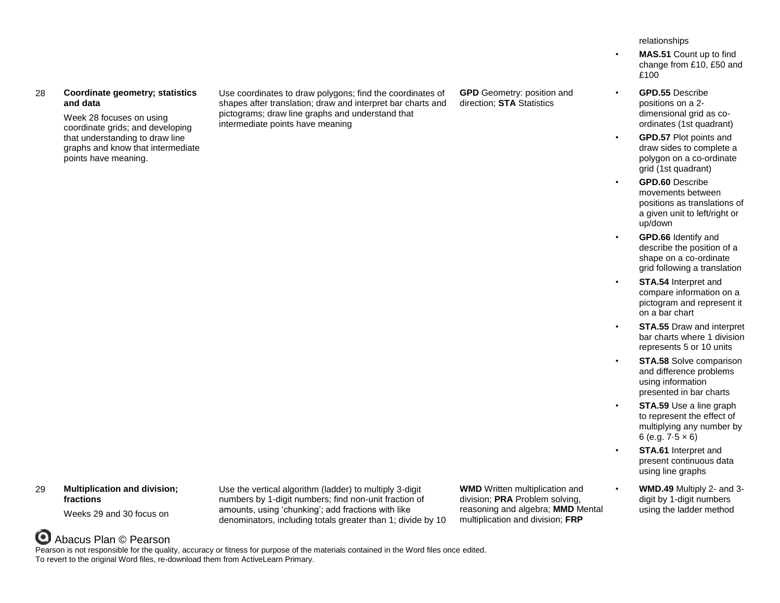## 28 **Coordinate geometry; statistics and data**

Week 28 focuses on using coordinate grids; and developing that understanding to draw line graphs and know that intermediate points have meaning.

Use coordinates to draw polygons; find the coordinates of shapes after translation; draw and interpret bar charts and pictograms; draw line graphs and understand that intermediate points have meaning

**GPD** Geometry: position and direction; **STA** Statistics

relationships

- **MAS.51** Count up to find change from £10, £50 and £100
- **GPD.55** Describe positions on a 2 dimensional grid as coordinates (1st quadrant)
- **GPD.57** Plot points and draw sides to complete a polygon on a co-ordinate grid (1st quadrant)
- **GPD.60** Describe movements between positions as translations of a given unit to left/right or up/down
- **GPD.66** Identify and describe the position of a shape on a co-ordinate grid following a translation
- **STA.54** Interpret and compare information on a pictogram and represent it on a bar chart
- **STA.55** Draw and interpret bar charts where 1 division represents 5 or 10 units
- **STA.58** Solve comparison and difference problems using information presented in bar charts
- **STA.59** Use a line graph to represent the effect of multiplying any number by 6 (e.g.  $7.5 \times 6$ )
- **STA.61** Interpret and present continuous data using line graphs
- **WMD.49** Multiply 2- and 3 digit by 1-digit numbers using the ladder method

## 29 **Multiplication and division; fractions**

Weeks 29 and 30 focus on

Use the vertical algorithm (ladder) to multiply 3-digit numbers by 1-digit numbers; find non-unit fraction of amounts, using ʻchunking'; add fractions with like denominators, including totals greater than 1; divide by 10 **WMD** Written multiplication and division; **PRA** Problem solving, reasoning and algebra; **MMD** Mental multiplication and division; **FRP**

## Abacus Plan © Pearson Pearson is not responsible for the quality, accuracy or fitness for purpose of the materials contained in the Word files once edited. To revert to the original Word files, re-download them from ActiveLearn Primary.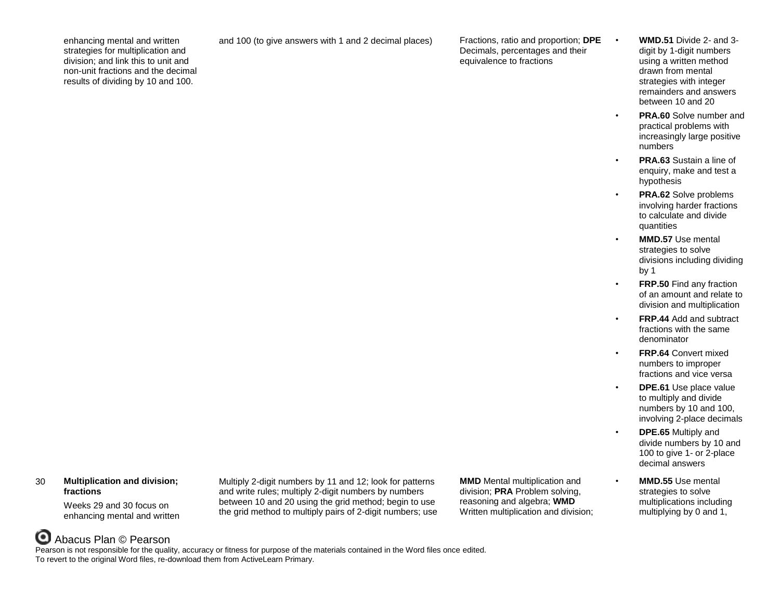enhancing mental and written strategies for multiplication and division; and link this to unit and non-unit fractions and the decimal results of dividing by 10 and 100.

and 100 (to give answers with 1 and 2 decimal places) Fractions, ratio and proportion; **DPE**

Decimals, percentages and their equivalence to fractions

- **WMD.51** Divide 2- and 3 digit by 1-digit numbers using a written method drawn from mental strategies with integer remainders and answers between 10 and 20
- **PRA.60** Solve number and practical problems with increasingly large positive numbers
- **PRA.63** Sustain a line of enquiry, make and test a hypothesis
- **PRA.62** Solve problems involving harder fractions to calculate and divide quantities
- **MMD.57** Use mental strategies to solve divisions including dividing by 1
- **FRP.50** Find any fraction of an amount and relate to division and multiplication
- **FRP.44** Add and subtract fractions with the same denominator
- **FRP.64** Convert mixed numbers to improper fractions and vice versa
- **DPE.61** Use place value to multiply and divide numbers by 10 and 100, involving 2-place decimals
- **DPE.65** Multiply and divide numbers by 10 and 100 to give 1- or 2-place decimal answers
- **MMD.55** Use mental strategies to solve multiplications including multiplying by 0 and 1,

## 30 **Multiplication and division; fractions**

Weeks 29 and 30 focus on enhancing mental and written

Multiply 2-digit numbers by 11 and 12; look for patterns and write rules; multiply 2-digit numbers by numbers between 10 and 20 using the grid method; begin to use the grid method to multiply pairs of 2-digit numbers; use **MMD** Mental multiplication and division; **PRA** Problem solving, reasoning and algebra; **WMD** Written multiplication and division;

# Abacus Plan © Pearson

Pearson is not responsible for the quality, accuracy or fitness for purpose of the materials contained in the Word files once edited. To revert to the original Word files, re-download them from ActiveLearn Primary.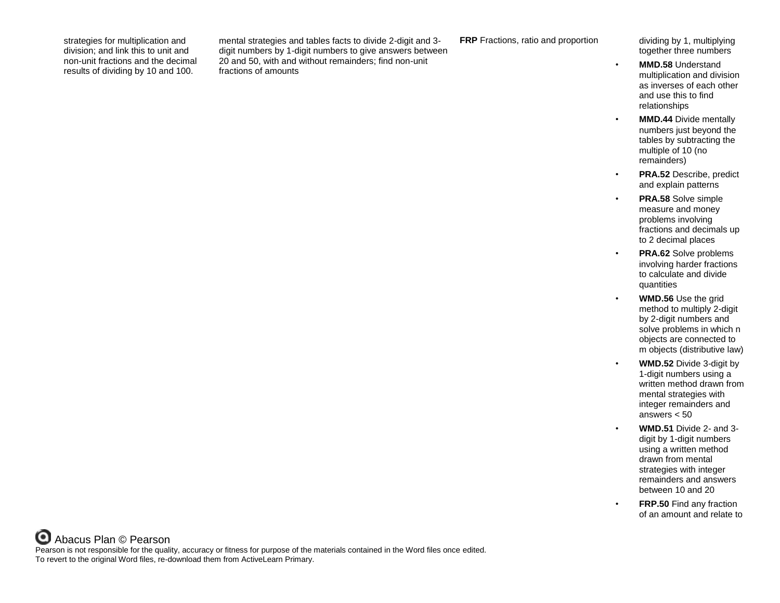strategies for multiplication and division; and link this to unit and non-unit fractions and the decimal results of dividing by 10 and 100.

mental strategies and tables facts to divide 2-digit and 3 digit numbers by 1-digit numbers to give answers between 20 and 50, with and without remainders; find non-unit fractions of amounts

**FRP** Fractions, ratio and proportion dividing by 1, multiplying

together three numbers

- **MMD.58** Understand multiplication and division as inverses of each other and use this to find relationships
- **MMD.44** Divide mentally numbers just beyond the tables by subtracting the multiple of 10 (no remainders)
- **PRA.52** Describe, predict and explain patterns
- **PRA.58** Solve simple measure and money problems involving fractions and decimals up to 2 decimal places
- **PRA.62** Solve problems involving harder fractions to calculate and divide quantities
- **WMD.56** Use the grid method to multiply 2-digit by 2-digit numbers and solve problems in which n objects are connected to m objects (distributive law)
- **WMD.52** Divide 3-digit by 1-digit numbers using a written method drawn from mental strategies with integer remainders and answers < 50
- **WMD.51** Divide 2- and 3 digit by 1-digit numbers using a written method drawn from mental strategies with integer remainders and answers between 10 and 20
- **FRP.50** Find any fraction of an amount and relate to